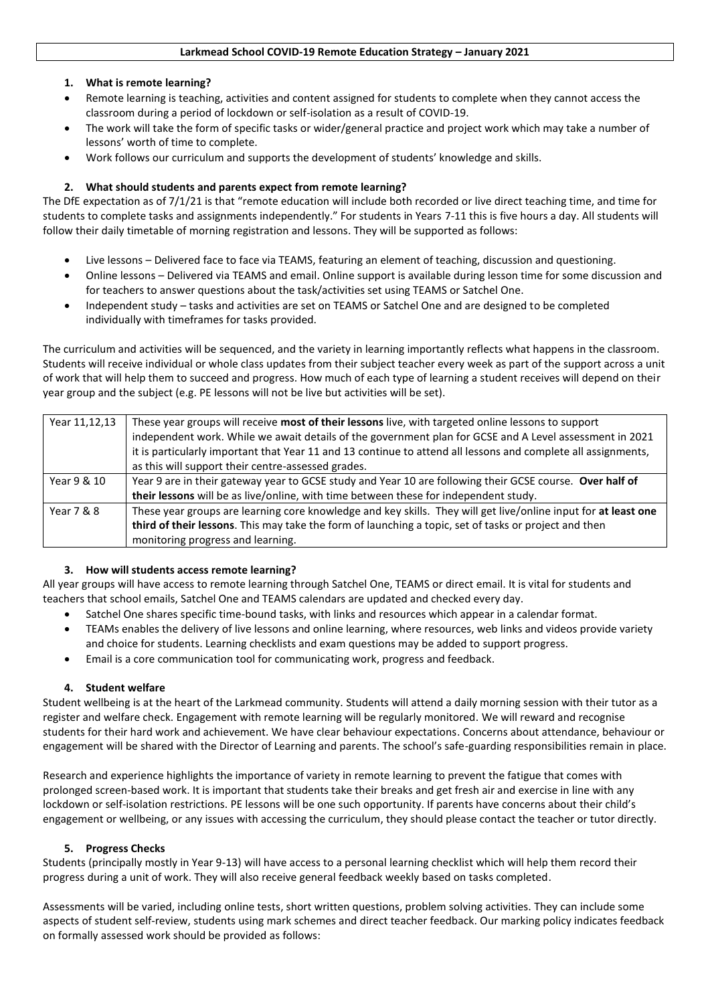### **Larkmead School COVID-19 Remote Education Strategy – January 2021**

## **1. What is remote learning?**

- Remote learning is teaching, activities and content assigned for students to complete when they cannot access the classroom during a period of lockdown or self-isolation as a result of COVID-19.
- The work will take the form of specific tasks or wider/general practice and project work which may take a number of lessons' worth of time to complete.
- Work follows our curriculum and supports the development of students' knowledge and skills.

## **2. What should students and parents expect from remote learning?**

The DfE expectation as of 7/1/21 is that "remote education will include both recorded or live direct teaching time, and time for students to complete tasks and assignments independently." For students in Years 7-11 this is five hours a day. All students will follow their daily timetable of morning registration and lessons. They will be supported as follows:

- Live lessons Delivered face to face via TEAMS, featuring an element of teaching, discussion and questioning.
- Online lessons Delivered via TEAMS and email. Online support is available during lesson time for some discussion and for teachers to answer questions about the task/activities set using TEAMS or Satchel One.
- Independent study tasks and activities are set on TEAMS or Satchel One and are designed to be completed individually with timeframes for tasks provided.

The curriculum and activities will be sequenced, and the variety in learning importantly reflects what happens in the classroom. Students will receive individual or whole class updates from their subject teacher every week as part of the support across a unit of work that will help them to succeed and progress. How much of each type of learning a student receives will depend on their year group and the subject (e.g. PE lessons will not be live but activities will be set).

| Year 11,12,13 | These year groups will receive most of their lessons live, with targeted online lessons to support<br>independent work. While we await details of the government plan for GCSE and A Level assessment in 2021<br>it is particularly important that Year 11 and 13 continue to attend all lessons and complete all assignments,<br>as this will support their centre-assessed grades. |
|---------------|--------------------------------------------------------------------------------------------------------------------------------------------------------------------------------------------------------------------------------------------------------------------------------------------------------------------------------------------------------------------------------------|
| Year 9 & 10   | Year 9 are in their gateway year to GCSE study and Year 10 are following their GCSE course. Over half of<br>their lessons will be as live/online, with time between these for independent study.                                                                                                                                                                                     |
| Year 7 & 8    | These year groups are learning core knowledge and key skills. They will get live/online input for at least one<br>third of their lessons. This may take the form of launching a topic, set of tasks or project and then<br>monitoring progress and learning.                                                                                                                         |

## **3. How will students access remote learning?**

All year groups will have access to remote learning through Satchel One, TEAMS or direct email. It is vital for students and teachers that school emails, Satchel One and TEAMS calendars are updated and checked every day.

- Satchel One shares specific time-bound tasks, with links and resources which appear in a calendar format.
- TEAMs enables the delivery of live lessons and online learning, where resources, web links and videos provide variety and choice for students. Learning checklists and exam questions may be added to support progress.
- Email is a core communication tool for communicating work, progress and feedback.

# **4. Student welfare**

Student wellbeing is at the heart of the Larkmead community. Students will attend a daily morning session with their tutor as a register and welfare check. Engagement with remote learning will be regularly monitored. We will reward and recognise students for their hard work and achievement. We have clear behaviour expectations. Concerns about attendance, behaviour or engagement will be shared with the Director of Learning and parents. The school's safe-guarding responsibilities remain in place.

Research and experience highlights the importance of variety in remote learning to prevent the fatigue that comes with prolonged screen-based work. It is important that students take their breaks and get fresh air and exercise in line with any lockdown or self-isolation restrictions. PE lessons will be one such opportunity. If parents have concerns about their child's engagement or wellbeing, or any issues with accessing the curriculum, they should please contact the teacher or tutor directly.

# **5. Progress Checks**

Students (principally mostly in Year 9-13) will have access to a personal learning checklist which will help them record their progress during a unit of work. They will also receive general feedback weekly based on tasks completed.

Assessments will be varied, including online tests, short written questions, problem solving activities. They can include some aspects of student self-review, students using mark schemes and direct teacher feedback. Our marking policy indicates feedback on formally assessed work should be provided as follows: